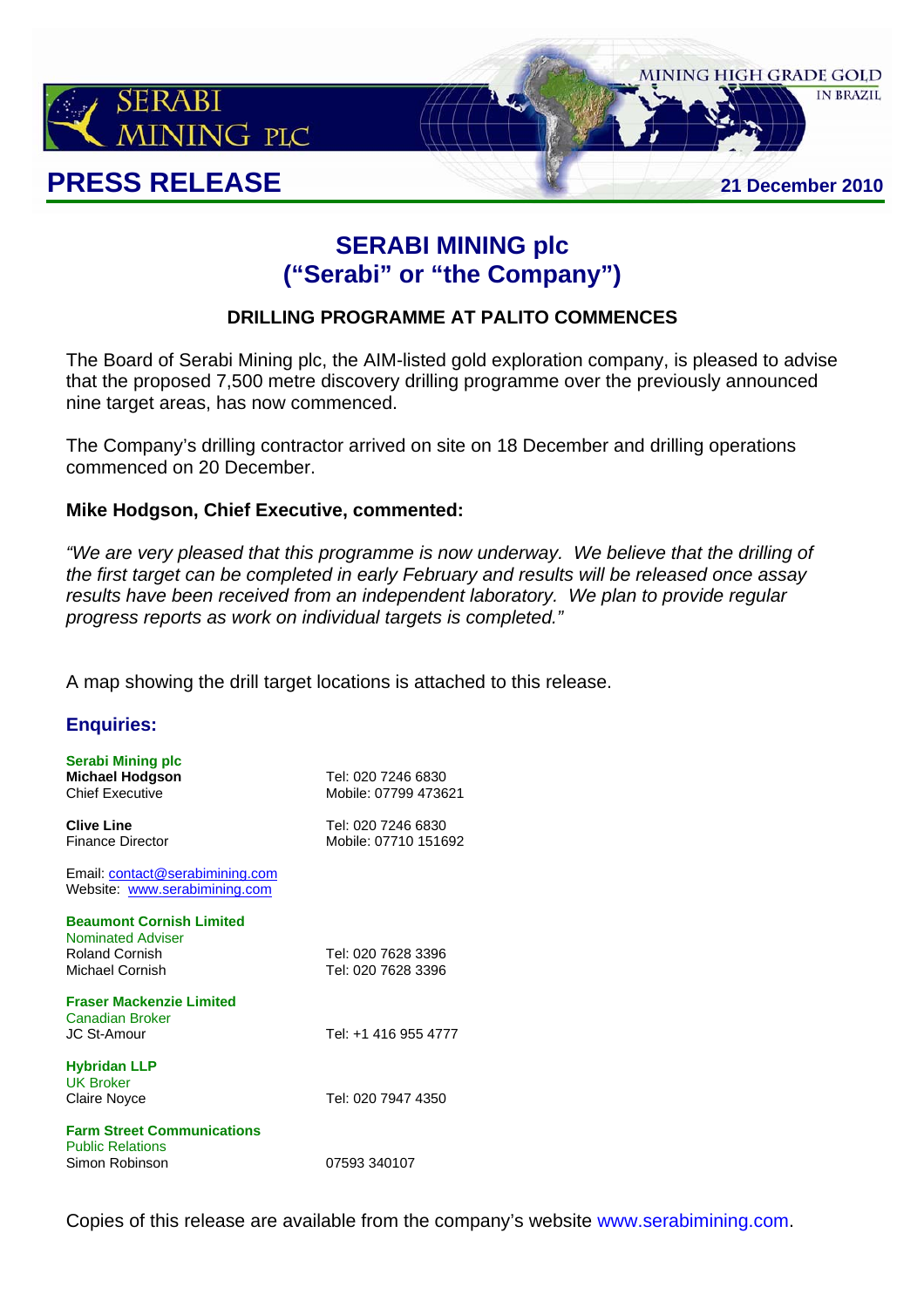

## **SERABI MINING plc ("Serabi" or "the Company")**

## **DRILLING PROGRAMME AT PALITO COMMENCES**

The Board of Serabi Mining plc, the AIM-listed gold exploration company, is pleased to advise that the proposed 7,500 metre discovery drilling programme over the previously announced nine target areas, has now commenced.

The Company's drilling contractor arrived on site on 18 December and drilling operations commenced on 20 December.

## **Mike Hodgson, Chief Executive, commented:**

*"We are very pleased that this programme is now underway. We believe that the drilling of the first target can be completed in early February and results will be released once assay results have been received from an independent laboratory. We plan to provide regular progress reports as work on individual targets is completed."* 

A map showing the drill target locations is attached to this release.

## **Enquiries:**

| Serabi Mining plc<br><b>Michael Hodgson</b><br><b>Chief Executive</b> | Tel: 020 7246 6830<br>Mobile: 07799 473621 |
|-----------------------------------------------------------------------|--------------------------------------------|
| <b>Clive Line</b><br><b>Finance Director</b>                          | Tel: 020 7246 6830<br>Mobile: 07710 151692 |
| Email: contact@serabimining.com<br>Website: www.serabimining.com      |                                            |
| <b>Beaumont Cornish Limited</b>                                       |                                            |
| <b>Nominated Adviser</b>                                              |                                            |
| <b>Roland Cornish</b>                                                 | Tel: 020 7628 3396                         |
| Michael Cornish                                                       | Tel: 020 7628 3396                         |
| <b>Fraser Mackenzie Limited</b>                                       |                                            |
| Canadian Broker                                                       |                                            |
| JC St-Amour                                                           | Tel: +1 416 955 4777                       |
| <b>Hybridan LLP</b>                                                   |                                            |
| <b>UK Broker</b>                                                      |                                            |
| Claire Noyce                                                          | Tel: 020 7947 4350                         |
| <b>Farm Street Communications</b>                                     |                                            |
| <b>Public Relations</b>                                               |                                            |
| Simon Robinson                                                        | 07593 340107                               |

Copies of this release are available from the company's website www.serabimining.com.